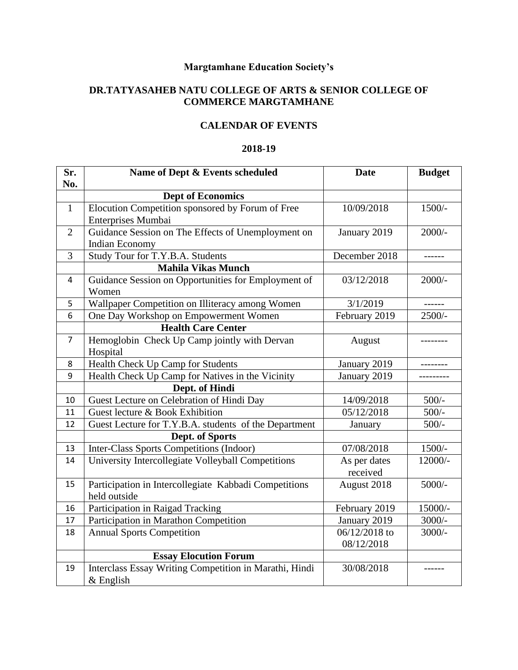## **Margtamhane Education Society's**

## **DR.TATYASAHEB NATU COLLEGE OF ARTS & SENIOR COLLEGE OF COMMERCE MARGTAMHANE**

## **CALENDAR OF EVENTS**

## **2018-19**

| Sr.<br>No.     | Name of Dept & Events scheduled                                       | <b>Date</b>   | <b>Budget</b> |
|----------------|-----------------------------------------------------------------------|---------------|---------------|
|                | <b>Dept of Economics</b>                                              |               |               |
| $\mathbf{1}$   | Elocution Competition sponsored by Forum of Free                      | 10/09/2018    | $1500/-$      |
|                | Enterprises Mumbai                                                    |               |               |
| $\overline{2}$ | Guidance Session on The Effects of Unemployment on                    | January 2019  | $2000/-$      |
|                | Indian Economy                                                        |               |               |
| 3              | Study Tour for T.Y.B.A. Students                                      | December 2018 |               |
|                | <b>Mahila Vikas Munch</b>                                             |               |               |
| 4              | Guidance Session on Opportunities for Employment of<br>Women          | 03/12/2018    | $2000/-$      |
| 5              | Wallpaper Competition on Illiteracy among Women                       | 3/1/2019      | ------        |
| 6              | One Day Workshop on Empowerment Women                                 | February 2019 | 2500/-        |
|                | <b>Health Care Center</b>                                             |               |               |
| 7              | Hemoglobin Check Up Camp jointly with Dervan                          | August        |               |
|                | Hospital                                                              |               |               |
| 8              | Health Check Up Camp for Students                                     | January 2019  |               |
| 9              | Health Check Up Camp for Natives in the Vicinity                      | January 2019  |               |
|                | Dept. of Hindi                                                        |               |               |
| 10             | Guest Lecture on Celebration of Hindi Day                             | 14/09/2018    | $500/-$       |
| 11             | Guest lecture & Book Exhibition                                       | 05/12/2018    | $500/-$       |
| 12             | Guest Lecture for T.Y.B.A. students of the Department                 | January       | $500/-$       |
|                | Dept. of Sports                                                       |               |               |
| 13             | <b>Inter-Class Sports Competitions (Indoor)</b>                       | 07/08/2018    | $1500/-$      |
| 14             | University Intercollegiate Volleyball Competitions                    | As per dates  | $12000/-$     |
|                |                                                                       | received      |               |
| 15             | Participation in Intercollegiate Kabbadi Competitions<br>held outside | August 2018   | 5000/-        |
| 16             | Participation in Raigad Tracking                                      | February 2019 | 15000/-       |
| 17             | Participation in Marathon Competition                                 | January 2019  | $3000/-$      |
| 18             | <b>Annual Sports Competition</b>                                      | 06/12/2018 to | $3000/-$      |
|                |                                                                       | 08/12/2018    |               |
|                | <b>Essay Elocution Forum</b>                                          |               |               |
| 19             | Interclass Essay Writing Competition in Marathi, Hindi<br>$&$ English | 30/08/2018    |               |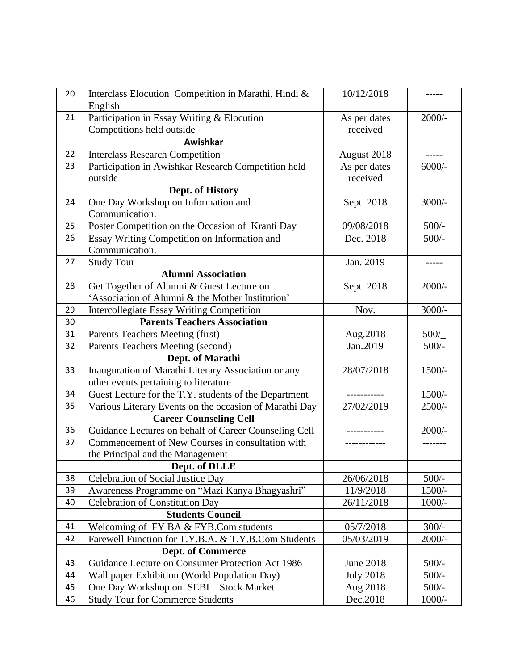| 20 | Interclass Elocution Competition in Marathi, Hindi &<br>English | 10/12/2018       |          |
|----|-----------------------------------------------------------------|------------------|----------|
| 21 | Participation in Essay Writing & Elocution                      | As per dates     | $2000/-$ |
|    | Competitions held outside                                       | received         |          |
|    | Awishkar                                                        |                  |          |
| 22 | <b>Interclass Research Competition</b>                          | August 2018      | -----    |
| 23 | Participation in Awishkar Research Competition held             | As per dates     | $6000/-$ |
|    | outside                                                         | received         |          |
|    | Dept. of History                                                |                  |          |
| 24 | One Day Workshop on Information and                             | Sept. 2018       | $3000/-$ |
|    | Communication.                                                  |                  |          |
| 25 | Poster Competition on the Occasion of Kranti Day                | 09/08/2018       | $500/-$  |
| 26 | Essay Writing Competition on Information and                    | Dec. 2018        | $500/-$  |
|    | Communication.                                                  |                  |          |
| 27 | <b>Study Tour</b>                                               | Jan. 2019        | -----    |
|    | <b>Alumni Association</b>                                       |                  |          |
| 28 | Get Together of Alumni & Guest Lecture on                       | Sept. 2018       | $2000/-$ |
|    | 'Association of Alumni & the Mother Institution'                |                  |          |
| 29 | <b>Intercollegiate Essay Writing Competition</b>                | Nov.             | $3000/-$ |
| 30 | <b>Parents Teachers Association</b>                             |                  |          |
| 31 | Parents Teachers Meeting (first)                                | Aug.2018         | 500/     |
| 32 | Parents Teachers Meeting (second)                               | Jan.2019         | $500/-$  |
|    | Dept. of Marathi                                                |                  |          |
| 33 | Inauguration of Marathi Literary Association or any             | 28/07/2018       | 1500/-   |
|    | other events pertaining to literature                           |                  |          |
| 34 | Guest Lecture for the T.Y. students of the Department           |                  | $1500/-$ |
| 35 | Various Literary Events on the occasion of Marathi Day          | 27/02/2019       | $2500/-$ |
|    | <b>Career Counseling Cell</b>                                   |                  |          |
| 36 | Guidance Lectures on behalf of Career Counseling Cell           | .                | $2000/-$ |
| 37 | Commencement of New Courses in consultation with                |                  |          |
|    | the Principal and the Management                                |                  |          |
|    | Dept. of DLLE                                                   |                  |          |
| 38 | Celebration of Social Justice Day                               | 26/06/2018       | $500/-$  |
| 39 | Awareness Programme on "Mazi Kanya Bhagyashri"                  | 11/9/2018        | $1500/-$ |
| 40 | <b>Celebration of Constitution Day</b>                          | 26/11/2018       | $1000/-$ |
|    | <b>Students Council</b>                                         |                  |          |
| 41 | Welcoming of FY BA & FYB.Com students                           | 05/7/2018        | $300/-$  |
| 42 | Farewell Function for T.Y.B.A. & T.Y.B.Com Students             | 05/03/2019       | $2000/-$ |
|    | <b>Dept. of Commerce</b>                                        |                  |          |
| 43 | Guidance Lecture on Consumer Protection Act 1986                | June 2018        | $500/-$  |
| 44 | Wall paper Exhibition (World Population Day)                    | <b>July 2018</b> | $500/-$  |
| 45 | One Day Workshop on SEBI - Stock Market                         | Aug 2018         | $500/-$  |
| 46 | <b>Study Tour for Commerce Students</b>                         | Dec.2018         | $1000/-$ |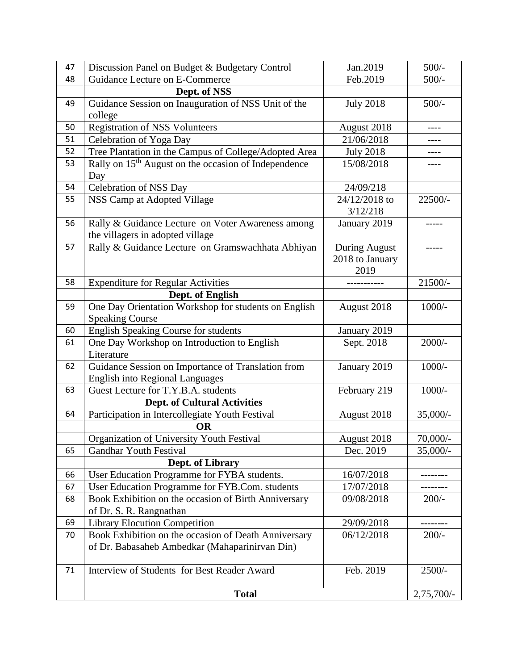| 47 | Discussion Panel on Budget & Budgetary Control                                                         | Jan.2019                                 | $500/-$     |
|----|--------------------------------------------------------------------------------------------------------|------------------------------------------|-------------|
| 48 | Guidance Lecture on E-Commerce                                                                         | Feb.2019                                 | $500/-$     |
|    | Dept. of NSS                                                                                           |                                          |             |
| 49 | Guidance Session on Inauguration of NSS Unit of the<br>college                                         | <b>July 2018</b>                         | $500/-$     |
| 50 | <b>Registration of NSS Volunteers</b>                                                                  | August 2018                              | ----        |
| 51 | Celebration of Yoga Day                                                                                | 21/06/2018                               |             |
| 52 | Tree Plantation in the Campus of College/Adopted Area                                                  | <b>July 2018</b>                         |             |
| 53 | Rally on 15 <sup>th</sup> August on the occasion of Independence<br>Day                                | 15/08/2018                               | ----        |
| 54 | Celebration of NSS Day                                                                                 | 24/09/218                                |             |
| 55 | NSS Camp at Adopted Village                                                                            | 24/12/2018 to<br>3/12/218                | 22500/-     |
| 56 | Rally & Guidance Lecture on Voter Awareness among<br>the villagers in adopted village                  | January 2019                             |             |
| 57 | Rally & Guidance Lecture on Gramswachhata Abhiyan                                                      | During August<br>2018 to January<br>2019 |             |
| 58 | <b>Expenditure for Regular Activities</b>                                                              |                                          | 21500/-     |
|    | Dept. of English                                                                                       |                                          |             |
| 59 | One Day Orientation Workshop for students on English<br><b>Speaking Course</b>                         | August 2018                              | $1000/-$    |
| 60 | <b>English Speaking Course for students</b>                                                            | January 2019                             |             |
| 61 | One Day Workshop on Introduction to English<br>Literature                                              | Sept. 2018                               | $2000/-$    |
| 62 | Guidance Session on Importance of Translation from<br><b>English into Regional Languages</b>           | January 2019                             | $1000/-$    |
| 63 | Guest Lecture for T.Y.B.A. students                                                                    | February 219                             | $1000/-$    |
|    | <b>Dept. of Cultural Activities</b>                                                                    |                                          |             |
| 64 | Participation in Intercollegiate Youth Festival                                                        | August 2018                              | $35,000/$ - |
|    | OR                                                                                                     |                                          |             |
|    | Organization of University Youth Festival                                                              | August 2018                              | $70,000/$ - |
| 65 | <b>Gandhar Youth Festival</b>                                                                          | Dec. 2019                                | $35,000/-$  |
|    | Dept. of Library                                                                                       |                                          |             |
| 66 | User Education Programme for FYBA students.                                                            | 16/07/2018                               |             |
| 67 | User Education Programme for FYB.Com. students                                                         | 17/07/2018                               |             |
| 68 | Book Exhibition on the occasion of Birth Anniversary<br>of Dr. S. R. Rangnathan                        | 09/08/2018                               | $200/-$     |
| 69 | <b>Library Elocution Competition</b>                                                                   | 29/09/2018                               |             |
| 70 | Book Exhibition on the occasion of Death Anniversary<br>of Dr. Babasaheb Ambedkar (Mahaparinirvan Din) | 06/12/2018                               | $200/-$     |
| 71 | Interview of Students for Best Reader Award                                                            | Feb. 2019                                | $2500/-$    |
|    | <b>Total</b>                                                                                           |                                          |             |